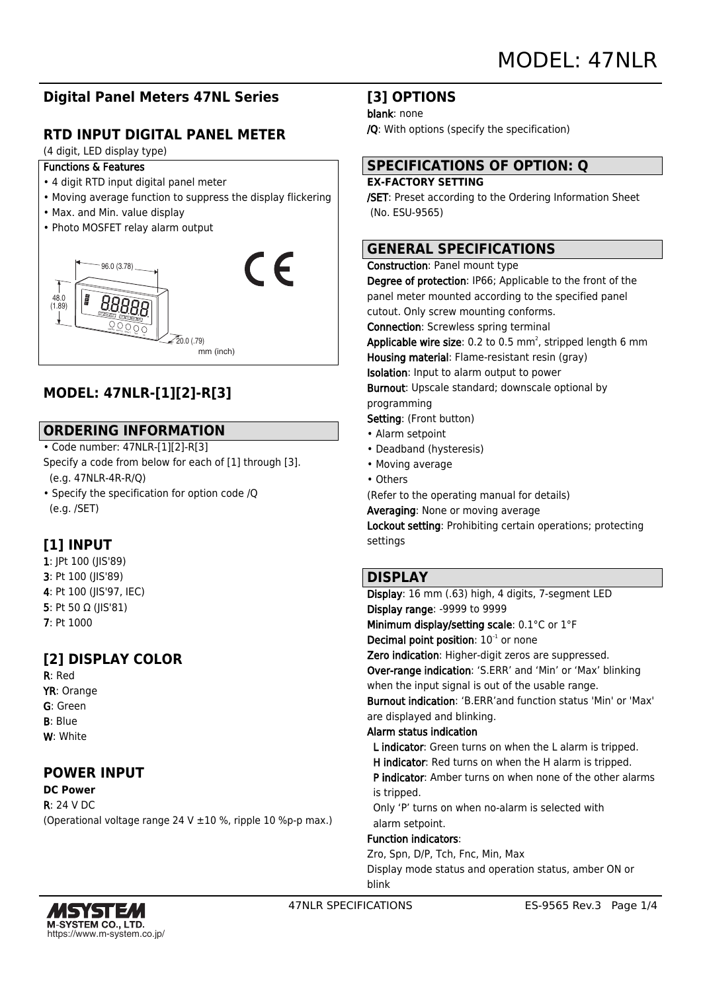# **Digital Panel Meters 47NL Series**

# **RTD INPUT DIGITAL PANEL METER**

(4 digit, LED display type)

- Functions & Features
- 4 digit RTD input digital panel meter
- Moving average function to suppress the display flickering
- Max. and Min. value display
- Photo MOSFET relay alarm output



# **MODEL: 47NLR-[1][2]-R[3]**

## **ORDERING INFORMATION**

• Code number: 47NLR-[1][2]-R[3]

Specify a code from below for each of [1] through [3]. (e.g. 47NLR-4R-R/Q)

• Specify the specification for option code /Q (e.g. /SET)

# **[1] INPUT**

1: JPt 100 (JIS'89) 3: Pt 100 (JIS'89) 4: Pt 100 (JIS'97, IEC) 5: Pt 50 Ω (JIS'81) 7: Pt 1000

# **[2] DISPLAY COLOR**

R: Red YR: Orange G: Green B: Blue W: White

## **POWER INPUT**

**DC Power** R: 24 V DC

(Operational voltage range 24 V ±10 %, ripple 10 %p-p max.)

## **[3] OPTIONS**

blank: none

/Q: With options (specify the specification)

# **SPECIFICATIONS OF OPTION: Q**

### **EX-FACTORY SETTING**

/SET: Preset according to the Ordering Information Sheet (No. ESU-9565)

## **GENERAL SPECIFICATIONS**

#### Construction: Panel mount type

Degree of protection: IP66; Applicable to the front of the panel meter mounted according to the specified panel cutout. Only screw mounting conforms.

Connection: Screwless spring terminal

**Applicable wire size**: 0.2 to 0.5 mm<sup>2</sup>, stripped length 6 mm Housing material: Flame-resistant resin (gray) Isolation: Input to alarm output to power Burnout: Upscale standard; downscale optional by

programming

- Setting: (Front button)
- Alarm setpoint
- Deadband (hysteresis)
- Moving average
- Others

(Refer to the operating manual for details)

Averaging: None or moving average

Lockout setting: Prohibiting certain operations; protecting settings

### **DISPLAY**

Display: 16 mm (.63) high, 4 digits, 7-segment LED Display range: -9999 to 9999 Minimum display/setting scale: 0.1°C or 1°F Decimal point position:  $10^{-1}$  or none Zero indication: Higher-digit zeros are suppressed. Over-range indication: 'S.ERR' and 'Min' or 'Max' blinking when the input signal is out of the usable range. Burnout indication: 'B.ERR'and function status 'Min' or 'Max' are displayed and blinking. Alarm status indication L indicator: Green turns on when the L alarm is tripped. H indicator: Red turns on when the H alarm is tripped. P indicator: Amber turns on when none of the other alarms is tripped. Only 'P' turns on when no-alarm is selected with alarm setpoint. Function indicators: Zro, Spn, D/P, Tch, Fnc, Min, Max Display mode status and operation status, amber ON or



blink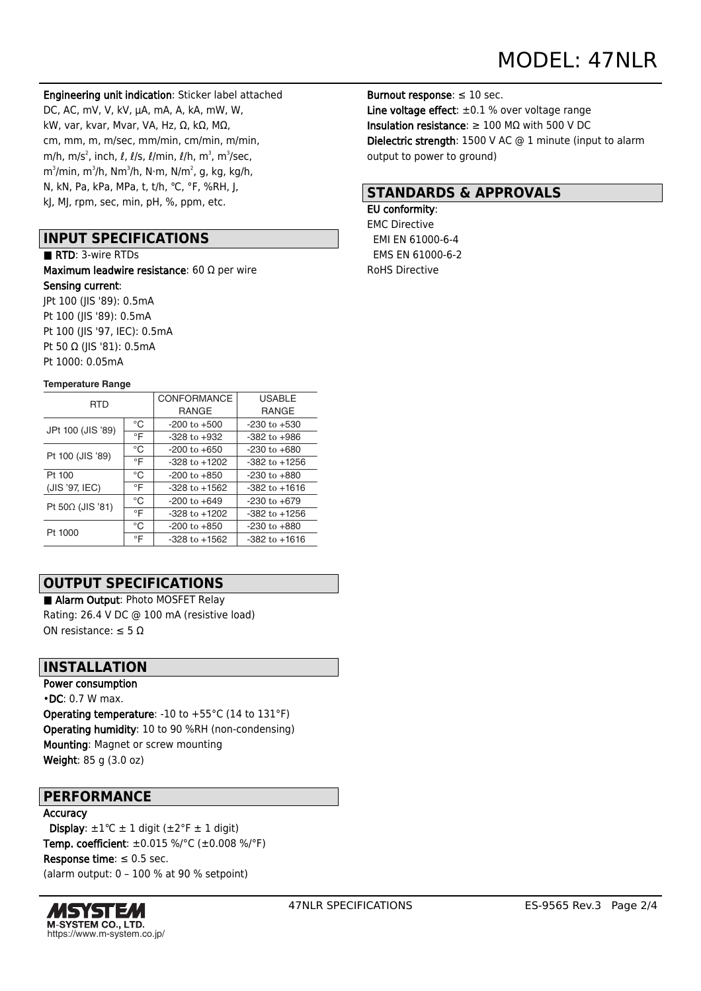Engineering unit indication: Sticker label attached DC, AC, mV, V, kV, μA, mA, A, kA, mW, W, kW, var, kvar, Mvar, VA, Hz, Ω, kΩ, MΩ, cm, mm, m, m/sec, mm/min, cm/min, m/min, m/h, m/s $^2$ , inch,  $\ell$ ,  $\ell$ /s,  $\ell$ /min,  $\ell$ /h, m $^3$ , m $^3$ /sec, m $^3$ /min, m $^3$ /h, N $\cdot$ m, N $^2$ , N, kg, kg/h, m $^2$ , y, kg/h, m N, kN, Pa, kPa, MPa, t, t/h, ℃, °F, %RH, J, kJ, MJ, rpm, sec, min, pH, %, ppm, etc.

### **INPUT SPECIFICATIONS**

■ RTD: 3-wire RTDs

Maximum leadwire resistance: 60 Ω per wire Sensing current: JPt 100 (JIS '89): 0.5mA Pt 100 (JIS '89): 0.5mA Pt 100 (JIS '97, IEC): 0.5mA Pt 50 Ω (JIS '81): 0.5mA Pt 1000: 0.05mA

#### **Temperature Range**

| <b>RTD</b>              |           | CONFORMANCE       | <b>USABLE</b>     |
|-------------------------|-----------|-------------------|-------------------|
|                         |           | <b>RANGE</b>      | <b>RANGE</b>      |
| JPt 100 (JIS '89)       | °C        | $-200$ to $+500$  | $-230$ to $+530$  |
|                         | $\circ$ F | $-328$ to $+932$  | $-382$ to $+986$  |
| Pt 100 (JIS '89)        | °C        | $-200$ to $+650$  | $-230$ to $+680$  |
|                         | °F        | $-328$ to $+1202$ | $-382$ to $+1256$ |
| Pt 100                  | °C        | $-200$ to $+850$  | $-230$ to $+880$  |
| (JIS '97, IEC)          | °F        | $-328$ to $+1562$ | $-382$ to $+1616$ |
| Pt $50\Omega$ (JIS '81) | °C        | $-200$ to $+649$  | -230 to +679      |
|                         | °F        | $-328$ to $+1202$ | $-382$ to $+1256$ |
| Pt 1000                 | °C        | $-200$ to $+850$  | $-230$ to $+880$  |
|                         | °F        | $-328$ to $+1562$ | $-382$ to $+1616$ |

## **OUTPUT SPECIFICATIONS**

■ Alarm Output: Photo MOSFET Relay Rating: 26.4 V DC @ 100 mA (resistive load) ON resistance: ≤ 5 Ω

### **INSTALLATION**

Power consumption •DC: 0.7 W max. Operating temperature: -10 to +55°C (14 to 131°F) Operating humidity: 10 to 90 %RH (non-condensing) Mounting: Magnet or screw mounting Weight: 85 g (3.0 oz)

### **PERFORMANCE**

#### Accuracy

Display:  $\pm 1^{\circ}C \pm 1$  digit ( $\pm 2^{\circ}F \pm 1$  digit) Temp. coefficient: ±0.015 %/°C (±0.008 %/°F) Response time:  $\leq 0.5$  sec. (alarm output: 0 – 100 % at 90 % setpoint)



Burnout response:  $\leq 10$  sec. Line voltage effect:  $\pm 0.1$  % over voltage range Insulation resistance:  $\geq 100$  M $\Omega$  with 500 V DC Dielectric strength: 1500 V AC @ 1 minute (input to alarm output to power to ground)

## **STANDARDS & APPROVALS**

#### EU conformity:

EMC Directive EMI EN 61000-6-4 EMS EN 61000-6-2 RoHS Directive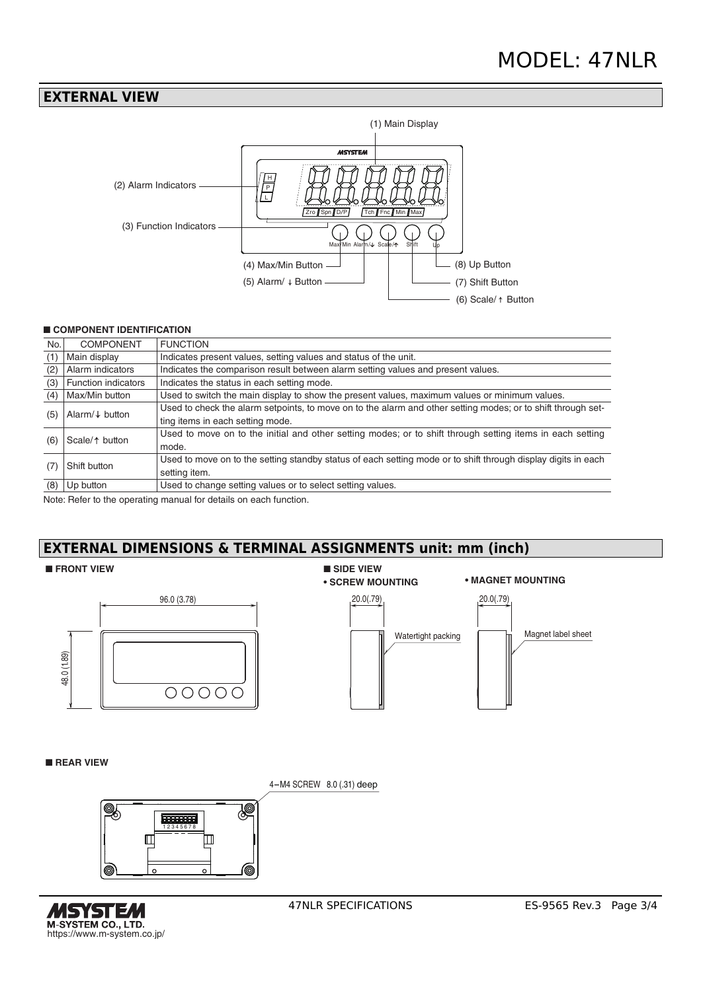### **EXTERNAL VIEW**



#### ■ **COMPONENT IDENTIFICATION**

| No.                | <b>COMPONENT</b>           | <b>FUNCTION</b>                                                                                               |  |
|--------------------|----------------------------|---------------------------------------------------------------------------------------------------------------|--|
| (1)                | Main display               | Indicates present values, setting values and status of the unit.                                              |  |
| (2)                | Alarm indicators           | Indicates the comparison result between alarm setting values and present values.                              |  |
| (3)                | <b>Function indicators</b> | Indicates the status in each setting mode.                                                                    |  |
| (4)                | Max/Min button             | Used to switch the main display to show the present values, maximum values or minimum values.                 |  |
| (5)                | Alarm/ $\downarrow$ button | Used to check the alarm setpoints, to move on to the alarm and other setting modes; or to shift through set-  |  |
|                    |                            | ting items in each setting mode.                                                                              |  |
|                    | Scale/ $\uparrow$ button   | Used to move on to the initial and other setting modes; or to shift through setting items in each setting     |  |
| (6)                |                            | mode.                                                                                                         |  |
| Shift button<br>(7 |                            | Used to move on to the setting standby status of each setting mode or to shift through display digits in each |  |
|                    |                            | setting item.                                                                                                 |  |
| (8)                | Up button                  | Used to change setting values or to select setting values.                                                    |  |

Note: Refer to the operating manual for details on each function.

# **EXTERNAL DIMENSIONS & TERMINAL ASSIGNMENTS unit: mm (inch)**

#### ■ **FRONT VIEW**



### ■ **SIDE VIEW**

#### **• SCREW MOUNTING • MAGNET MOUNTING**



#### ■ **REAR VIEW**

4-M4 SCREW 8.0 (.31) deep